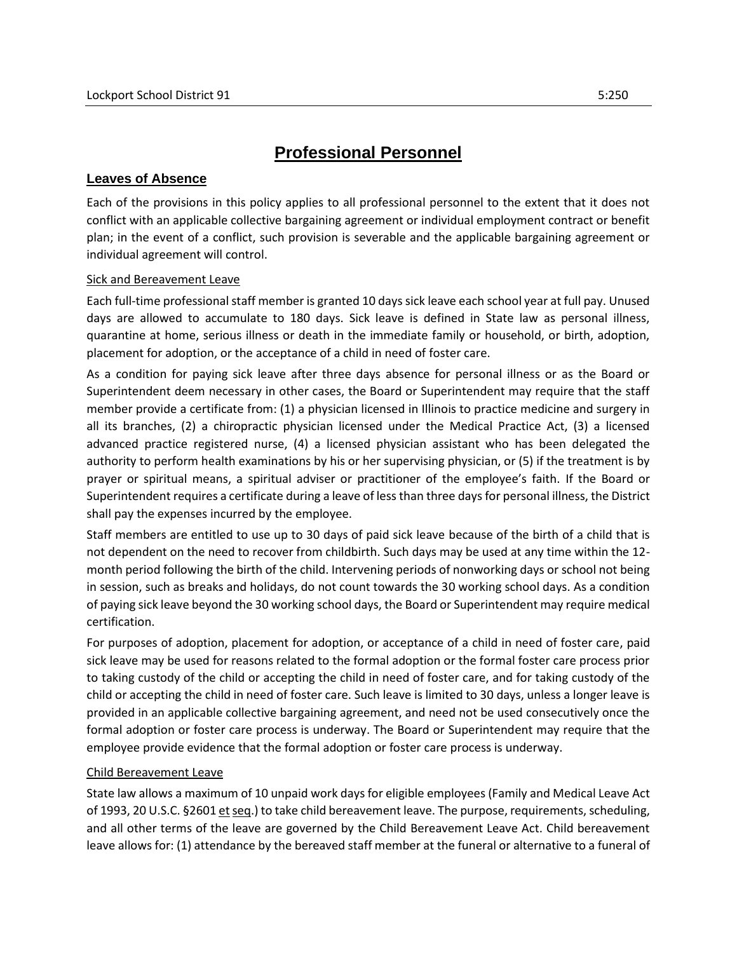# **Professional Personnel**

## **Leaves of Absence**

Each of the provisions in this policy applies to all professional personnel to the extent that it does not conflict with an applicable collective bargaining agreement or individual employment contract or benefit plan; in the event of a conflict, such provision is severable and the applicable bargaining agreement or individual agreement will control.

#### Sick and Bereavement Leave

Each full-time professional staff member is granted 10 days sick leave each school year at full pay. Unused days are allowed to accumulate to 180 days. Sick leave is defined in State law as personal illness, quarantine at home, serious illness or death in the immediate family or household, or birth, adoption, placement for adoption, or the acceptance of a child in need of foster care.

As a condition for paying sick leave after three days absence for personal illness or as the Board or Superintendent deem necessary in other cases, the Board or Superintendent may require that the staff member provide a certificate from: (1) a physician licensed in Illinois to practice medicine and surgery in all its branches, (2) a chiropractic physician licensed under the Medical Practice Act, (3) a licensed advanced practice registered nurse, (4) a licensed physician assistant who has been delegated the authority to perform health examinations by his or her supervising physician, or (5) if the treatment is by prayer or spiritual means, a spiritual adviser or practitioner of the employee's faith. If the Board or Superintendent requires a certificate during a leave of less than three days for personal illness, the District shall pay the expenses incurred by the employee.

Staff members are entitled to use up to 30 days of paid sick leave because of the birth of a child that is not dependent on the need to recover from childbirth. Such days may be used at any time within the 12 month period following the birth of the child. Intervening periods of nonworking days or school not being in session, such as breaks and holidays, do not count towards the 30 working school days. As a condition of paying sick leave beyond the 30 working school days, the Board or Superintendent may require medical certification.

For purposes of adoption, placement for adoption, or acceptance of a child in need of foster care, paid sick leave may be used for reasons related to the formal adoption or the formal foster care process prior to taking custody of the child or accepting the child in need of foster care, and for taking custody of the child or accepting the child in need of foster care. Such leave is limited to 30 days, unless a longer leave is provided in an applicable collective bargaining agreement, and need not be used consecutively once the formal adoption or foster care process is underway. The Board or Superintendent may require that the employee provide evidence that the formal adoption or foster care process is underway.

## Child Bereavement Leave

State law allows a maximum of 10 unpaid work days for eligible employees (Family and Medical Leave Act of 1993, 20 U.S.C. §2601 et seq.) to take child bereavement leave. The purpose, requirements, scheduling, and all other terms of the leave are governed by the Child Bereavement Leave Act. Child bereavement leave allows for: (1) attendance by the bereaved staff member at the funeral or alternative to a funeral of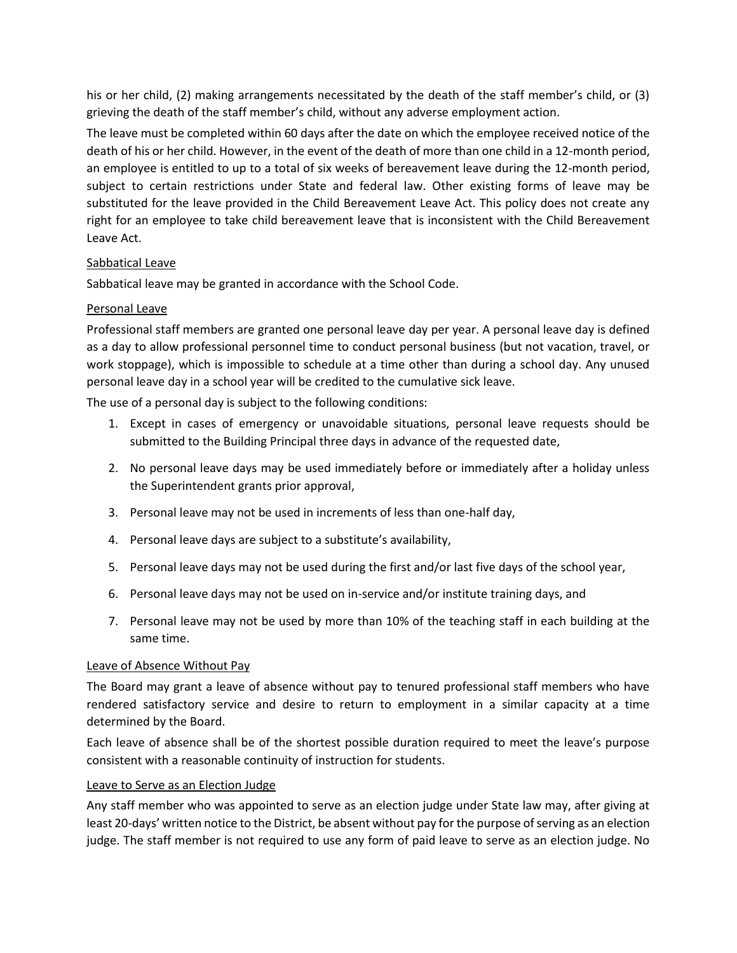his or her child, (2) making arrangements necessitated by the death of the staff member's child, or (3) grieving the death of the staff member's child, without any adverse employment action.

The leave must be completed within 60 days after the date on which the employee received notice of the death of his or her child. However, in the event of the death of more than one child in a 12-month period, an employee is entitled to up to a total of six weeks of bereavement leave during the 12-month period, subject to certain restrictions under State and federal law. Other existing forms of leave may be substituted for the leave provided in the Child Bereavement Leave Act. This policy does not create any right for an employee to take child bereavement leave that is inconsistent with the Child Bereavement Leave Act.

## Sabbatical Leave

Sabbatical leave may be granted in accordance with the School Code.

## Personal Leave

Professional staff members are granted one personal leave day per year. A personal leave day is defined as a day to allow professional personnel time to conduct personal business (but not vacation, travel, or work stoppage), which is impossible to schedule at a time other than during a school day. Any unused personal leave day in a school year will be credited to the cumulative sick leave.

The use of a personal day is subject to the following conditions:

- 1. Except in cases of emergency or unavoidable situations, personal leave requests should be submitted to the Building Principal three days in advance of the requested date,
- 2. No personal leave days may be used immediately before or immediately after a holiday unless the Superintendent grants prior approval,
- 3. Personal leave may not be used in increments of less than one-half day,
- 4. Personal leave days are subject to a substitute's availability,
- 5. Personal leave days may not be used during the first and/or last five days of the school year,
- 6. Personal leave days may not be used on in-service and/or institute training days, and
- 7. Personal leave may not be used by more than 10% of the teaching staff in each building at the same time.

## Leave of Absence Without Pay

The Board may grant a leave of absence without pay to tenured professional staff members who have rendered satisfactory service and desire to return to employment in a similar capacity at a time determined by the Board.

Each leave of absence shall be of the shortest possible duration required to meet the leave's purpose consistent with a reasonable continuity of instruction for students.

## Leave to Serve as an Election Judge

Any staff member who was appointed to serve as an election judge under State law may, after giving at least 20-days' written notice to the District, be absent without pay for the purpose of serving as an election judge. The staff member is not required to use any form of paid leave to serve as an election judge. No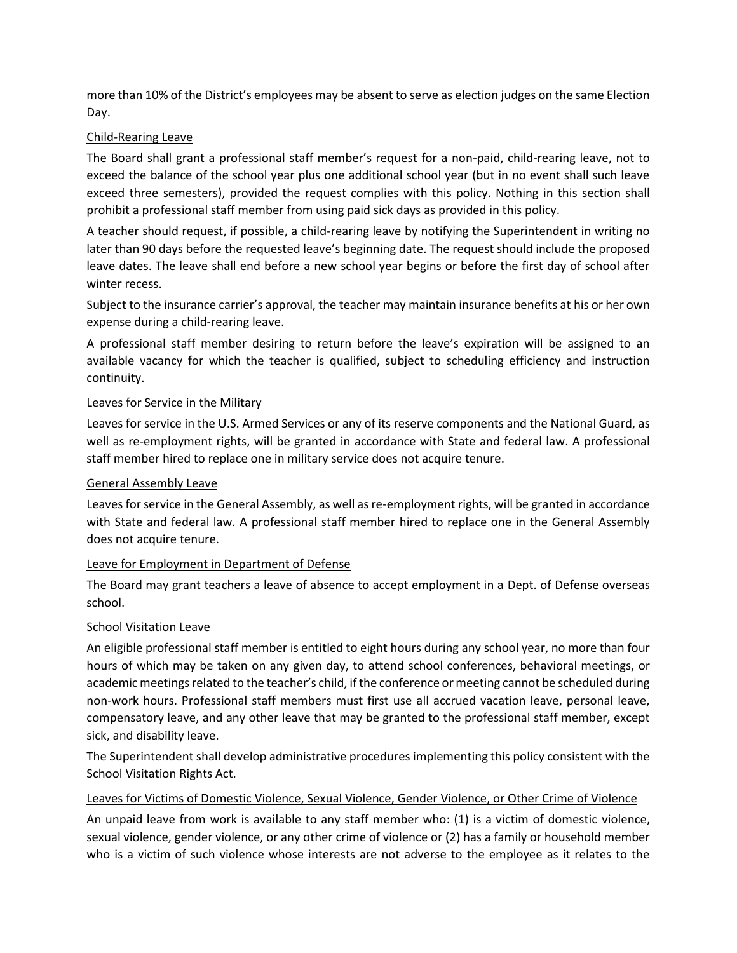more than 10% of the District's employees may be absent to serve as election judges on the same Election Day.

## Child-Rearing Leave

The Board shall grant a professional staff member's request for a non-paid, child-rearing leave, not to exceed the balance of the school year plus one additional school year (but in no event shall such leave exceed three semesters), provided the request complies with this policy. Nothing in this section shall prohibit a professional staff member from using paid sick days as provided in this policy.

A teacher should request, if possible, a child-rearing leave by notifying the Superintendent in writing no later than 90 days before the requested leave's beginning date. The request should include the proposed leave dates. The leave shall end before a new school year begins or before the first day of school after winter recess.

Subject to the insurance carrier's approval, the teacher may maintain insurance benefits at his or her own expense during a child-rearing leave.

A professional staff member desiring to return before the leave's expiration will be assigned to an available vacancy for which the teacher is qualified, subject to scheduling efficiency and instruction continuity.

## Leaves for Service in the Military

Leaves for service in the U.S. Armed Services or any of its reserve components and the National Guard, as well as re-employment rights, will be granted in accordance with State and federal law. A professional staff member hired to replace one in military service does not acquire tenure.

## General Assembly Leave

Leaves for service in the General Assembly, as well as re-employment rights, will be granted in accordance with State and federal law. A professional staff member hired to replace one in the General Assembly does not acquire tenure.

## Leave for Employment in Department of Defense

The Board may grant teachers a leave of absence to accept employment in a Dept. of Defense overseas school.

## **School Visitation Leave**

An eligible professional staff member is entitled to eight hours during any school year, no more than four hours of which may be taken on any given day, to attend school conferences, behavioral meetings, or academic meetings related to the teacher's child, if the conference or meeting cannot be scheduled during non-work hours. Professional staff members must first use all accrued vacation leave, personal leave, compensatory leave, and any other leave that may be granted to the professional staff member, except sick, and disability leave.

The Superintendent shall develop administrative procedures implementing this policy consistent with the School Visitation Rights Act.

## Leaves for Victims of Domestic Violence, Sexual Violence, Gender Violence, or Other Crime of Violence

An unpaid leave from work is available to any staff member who: (1) is a victim of domestic violence, sexual violence, gender violence, or any other crime of violence or (2) has a family or household member who is a victim of such violence whose interests are not adverse to the employee as it relates to the